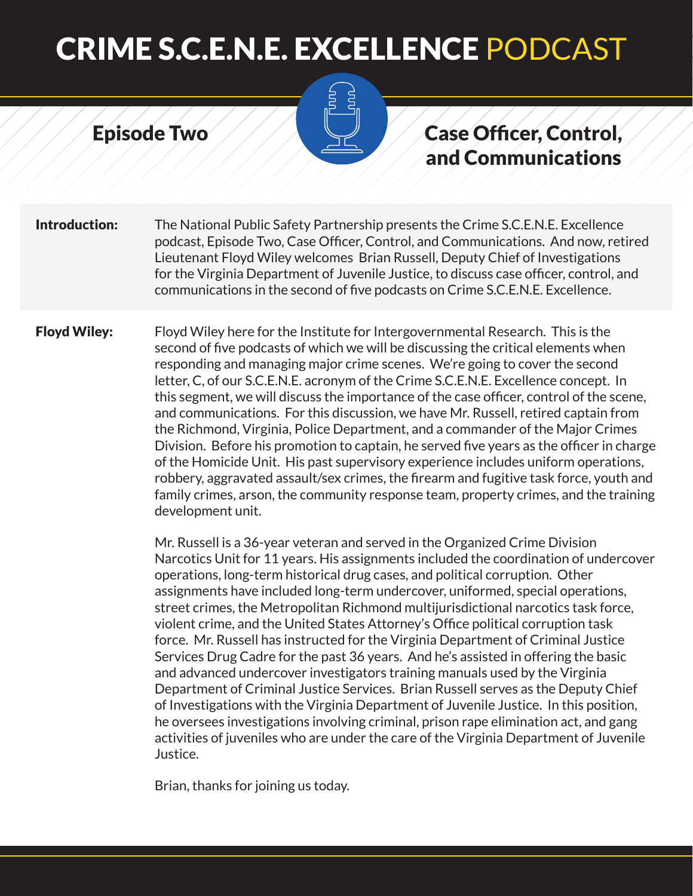#### Episode Two



#### Case Officer, Control, and Communications

**Introduction:** The National Public Safety Partnership presents the Crime S.C.E.N.E. Excellence podcast, Episode Two, Case Officer, Control, and Communications. And now, retired Lieutenant Floyd Wiley welcomes Brian Russell, Deputy Chief of Investigations for the Virginia Department of Juvenile Justice, to discuss case officer, control, and communications in the second of five podcasts on Crime S.C.E.N.E. Excellence.

**Floyd Wiley:** Floyd Wiley here for the Institute for Intergovernmental Research. This is the second of five podcasts of which we will be discussing the critical elements when responding and managing major crime scenes. We're going to cover the second letter, C, of our S.C.E.N.E. acronym of the Crime S.C.E.N.E. Excellence concept. In this segment, we will discuss the importance of the case officer, control of the scene, and communications. For this discussion, we have Mr. Russell, retired captain from the Richmond, Virginia, Police Department, and a commander of the Major Crimes Division. Before his promotion to captain, he served five years as the officer in charge of the Homicide Unit. His past supervisory experience includes uniform operations, robbery, aggravated assault/sex crimes, the firearm and fugitive task force, youth and family crimes, arson, the community response team, property crimes, and the training development unit.

> Mr. Russell is a 36-year veteran and served in the Organized Crime Division Narcotics Unit for 11 years. His assignments included the coordination of undercover operations, long-term historical drug cases, and political corruption. Other assignments have included long-term undercover, uniformed, special operations, street crimes, the Metropolitan Richmond multijurisdictional narcotics task force, violent crime, and the United States Attorney's Office political corruption task force. Mr. Russell has instructed for the Virginia Department of Criminal Justice Services Drug Cadre for the past 36 years. And he's assisted in offering the basic and advanced undercover investigators training manuals used by the Virginia Department of Criminal Justice Services. Brian Russell serves as the Deputy Chief of Investigations with the Virginia Department of Juvenile Justice. In this position, he oversees investigations involving criminal, prison rape elimination act, and gang activities of juveniles who are under the care of the Virginia Department of Juvenile Justice.

Brian, thanks for joining us today.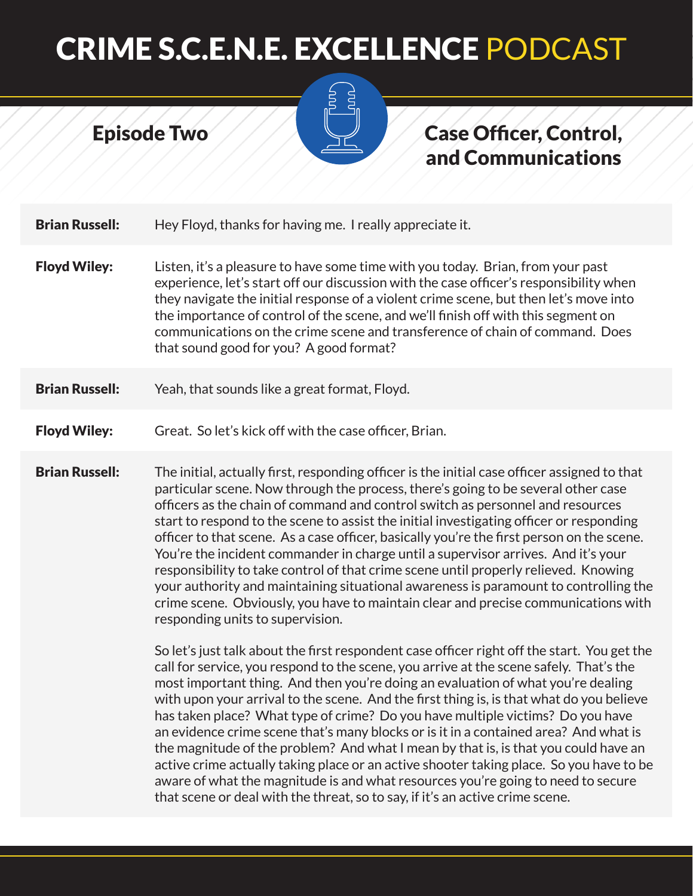

#### Case Officer, Control, and Communications

**Brian Russell:** Hey Floyd, thanks for having me. I really appreciate it.

Episode Two

- **Floyd Wiley:** Listen, it's a pleasure to have some time with you today. Brian, from your past experience, let's start off our discussion with the case officer's responsibility when they navigate the initial response of a violent crime scene, but then let's move into the importance of control of the scene, and we'll finish off with this segment on communications on the crime scene and transference of chain of command. Does that sound good for you? A good format?
- **Brian Russell:** Yeah, that sounds like a great format, Floyd.

#### **Floyd Wiley:** Great. So let's kick off with the case officer, Brian.

**Brian Russell:** The initial, actually first, responding officer is the initial case officer assigned to that particular scene. Now through the process, there's going to be several other case officers as the chain of command and control switch as personnel and resources start to respond to the scene to assist the initial investigating officer or responding officer to that scene. As a case officer, basically you're the first person on the scene. You're the incident commander in charge until a supervisor arrives. And it's your responsibility to take control of that crime scene until properly relieved. Knowing your authority and maintaining situational awareness is paramount to controlling the crime scene. Obviously, you have to maintain clear and precise communications with responding units to supervision.

> So let's just talk about the first respondent case officer right off the start. You get the call for service, you respond to the scene, you arrive at the scene safely. That's the most important thing. And then you're doing an evaluation of what you're dealing with upon your arrival to the scene. And the first thing is, is that what do you believe has taken place? What type of crime? Do you have multiple victims? Do you have an evidence crime scene that's many blocks or is it in a contained area? And what is the magnitude of the problem? And what I mean by that is, is that you could have an active crime actually taking place or an active shooter taking place. So you have to be aware of what the magnitude is and what resources you're going to need to secure that scene or deal with the threat, so to say, if it's an active crime scene.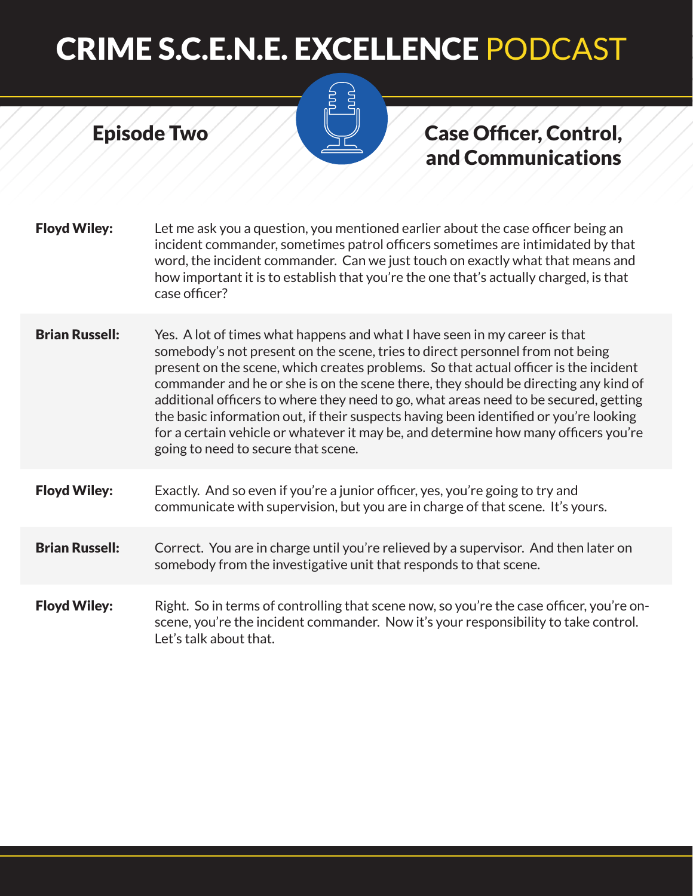Episode Two

#### Case Officer, Control, and Communications

| <b>Floyd Wiley:</b> | Let me ask you a question, you mentioned earlier about the case officer being an      |
|---------------------|---------------------------------------------------------------------------------------|
|                     | incident commander, sometimes patrol officers sometimes are intimidated by that       |
|                     | word, the incident commander. Can we just touch on exactly what that means and        |
|                     | how important it is to establish that you're the one that's actually charged, is that |
|                     | case officer?                                                                         |

**Brian Russell:** Yes. A lot of times what happens and what I have seen in my career is that somebody's not present on the scene, tries to direct personnel from not being present on the scene, which creates problems. So that actual officer is the incident commander and he or she is on the scene there, they should be directing any kind of additional officers to where they need to go, what areas need to be secured, getting the basic information out, if their suspects having been identified or you're looking for a certain vehicle or whatever it may be, and determine how many officers you're going to need to secure that scene.

#### Floyd Wiley: Exactly. And so even if you're a junior officer, yes, you're going to try and communicate with supervision, but you are in charge of that scene. It's yours.

#### **Brian Russell:** Correct. You are in charge until you're relieved by a supervisor. And then later on somebody from the investigative unit that responds to that scene.

Floyd Wiley: Right. So in terms of controlling that scene now, so you're the case officer, you're onscene, you're the incident commander. Now it's your responsibility to take control. Let's talk about that.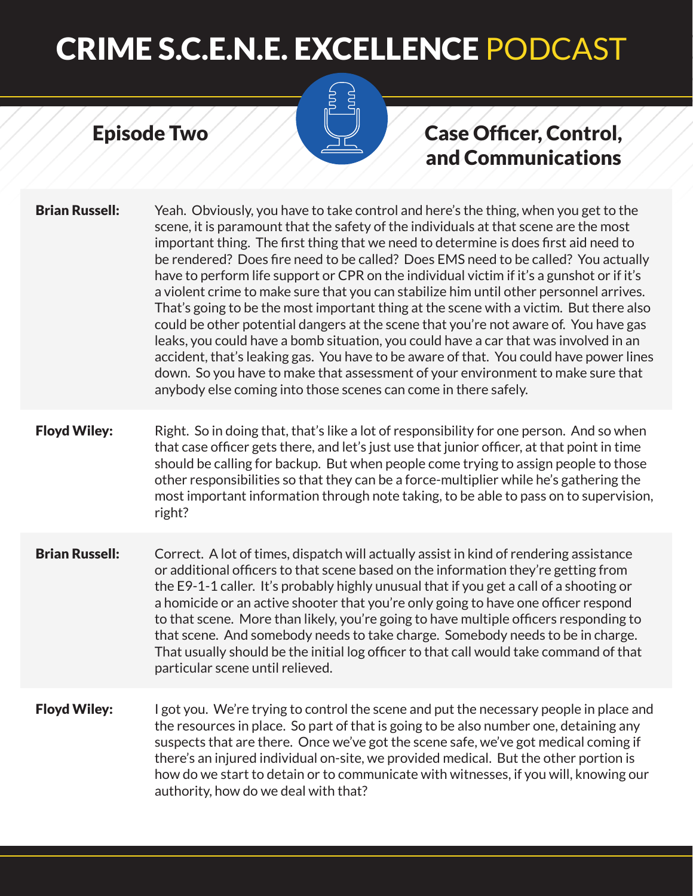# **Pou**

Episode Two

### Case Officer, Control, and Communications

| <b>Brian Russell:</b> | Yeah. Obviously, you have to take control and here's the thing, when you get to the<br>scene, it is paramount that the safety of the individuals at that scene are the most<br>important thing. The first thing that we need to determine is does first aid need to<br>be rendered? Does fire need to be called? Does EMS need to be called? You actually<br>have to perform life support or CPR on the individual victim if it's a gunshot or if it's<br>a violent crime to make sure that you can stabilize him until other personnel arrives.<br>That's going to be the most important thing at the scene with a victim. But there also<br>could be other potential dangers at the scene that you're not aware of. You have gas<br>leaks, you could have a bomb situation, you could have a car that was involved in an<br>accident, that's leaking gas. You have to be aware of that. You could have power lines<br>down. So you have to make that assessment of your environment to make sure that<br>anybody else coming into those scenes can come in there safely. |
|-----------------------|----------------------------------------------------------------------------------------------------------------------------------------------------------------------------------------------------------------------------------------------------------------------------------------------------------------------------------------------------------------------------------------------------------------------------------------------------------------------------------------------------------------------------------------------------------------------------------------------------------------------------------------------------------------------------------------------------------------------------------------------------------------------------------------------------------------------------------------------------------------------------------------------------------------------------------------------------------------------------------------------------------------------------------------------------------------------------|
| <b>Floyd Wiley:</b>   | Right. So in doing that, that's like a lot of responsibility for one person. And so when<br>that case officer gets there, and let's just use that junior officer, at that point in time<br>should be calling for backup. But when people come trying to assign people to those<br>other responsibilities so that they can be a force-multiplier while he's gathering the<br>most important information through note taking, to be able to pass on to supervision,<br>right?                                                                                                                                                                                                                                                                                                                                                                                                                                                                                                                                                                                                |
| <b>Brian Russell:</b> | Correct. A lot of times, dispatch will actually assist in kind of rendering assistance<br>or additional officers to that scene based on the information they're getting from<br>the E9-1-1 caller. It's probably highly unusual that if you get a call of a shooting or<br>a homicide or an active shooter that you're only going to have one officer respond<br>to that scene. More than likely, you're going to have multiple officers responding to<br>that scene. And somebody needs to take charge. Somebody needs to be in charge.<br>That usually should be the initial log officer to that call would take command of that<br>particular scene until relieved.                                                                                                                                                                                                                                                                                                                                                                                                     |
| <b>Floyd Wiley:</b>   | I got you. We're trying to control the scene and put the necessary people in place and<br>the resources in place. So part of that is going to be also number one, detaining any<br>suspects that are there. Once we've got the scene safe, we've got medical coming if<br>there's an injured individual on-site, we provided medical. But the other portion is<br>how do we start to detain or to communicate with witnesses, if you will, knowing our<br>authority, how do we deal with that?                                                                                                                                                                                                                                                                                                                                                                                                                                                                                                                                                                             |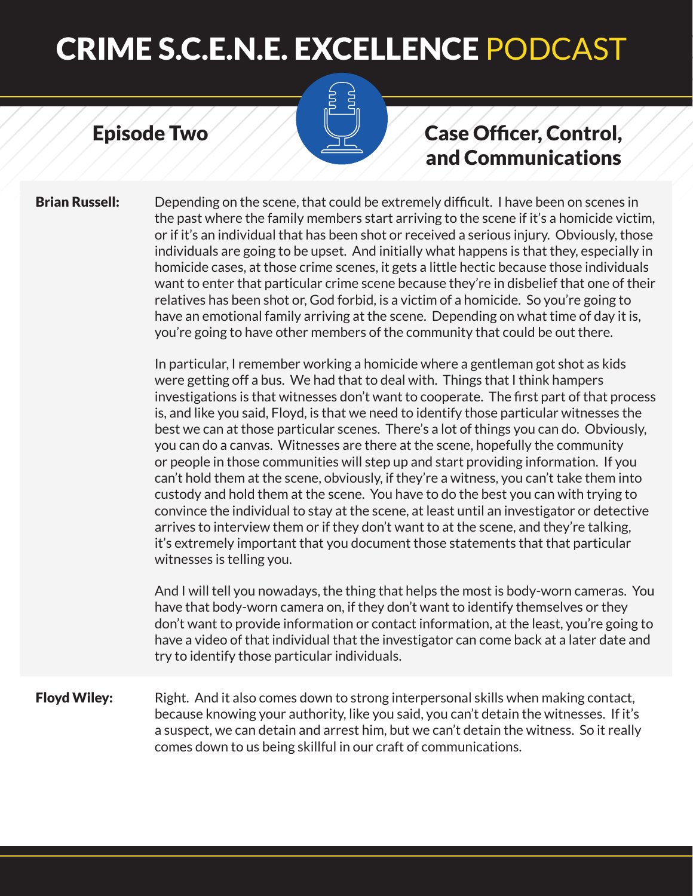#### Episode Two



**Brian Russell:** Depending on the scene, that could be extremely difficult. I have been on scenes in the past where the family members start arriving to the scene if it's a homicide victim, or if it's an individual that has been shot or received a serious injury. Obviously, those individuals are going to be upset. And initially what happens is that they, especially in homicide cases, at those crime scenes, it gets a little hectic because those individuals want to enter that particular crime scene because they're in disbelief that one of their relatives has been shot or, God forbid, is a victim of a homicide. So you're going to have an emotional family arriving at the scene. Depending on what time of day it is, you're going to have other members of the community that could be out there.

> In particular, I remember working a homicide where a gentleman got shot as kids were getting off a bus. We had that to deal with. Things that I think hampers investigations is that witnesses don't want to cooperate. The first part of that process is, and like you said, Floyd, is that we need to identify those particular witnesses the best we can at those particular scenes. There's a lot of things you can do. Obviously, you can do a canvas. Witnesses are there at the scene, hopefully the community or people in those communities will step up and start providing information. If you can't hold them at the scene, obviously, if they're a witness, you can't take them into custody and hold them at the scene. You have to do the best you can with trying to convince the individual to stay at the scene, at least until an investigator or detective arrives to interview them or if they don't want to at the scene, and they're talking, it's extremely important that you document those statements that that particular witnesses is telling you.

> And I will tell you nowadays, the thing that helps the most is body-worn cameras. You have that body-worn camera on, if they don't want to identify themselves or they don't want to provide information or contact information, at the least, you're going to have a video of that individual that the investigator can come back at a later date and try to identify those particular individuals.

**Floyd Wiley:** Right. And it also comes down to strong interpersonal skills when making contact, because knowing your authority, like you said, you can't detain the witnesses. If it's a suspect, we can detain and arrest him, but we can't detain the witness. So it really comes down to us being skillful in our craft of communications.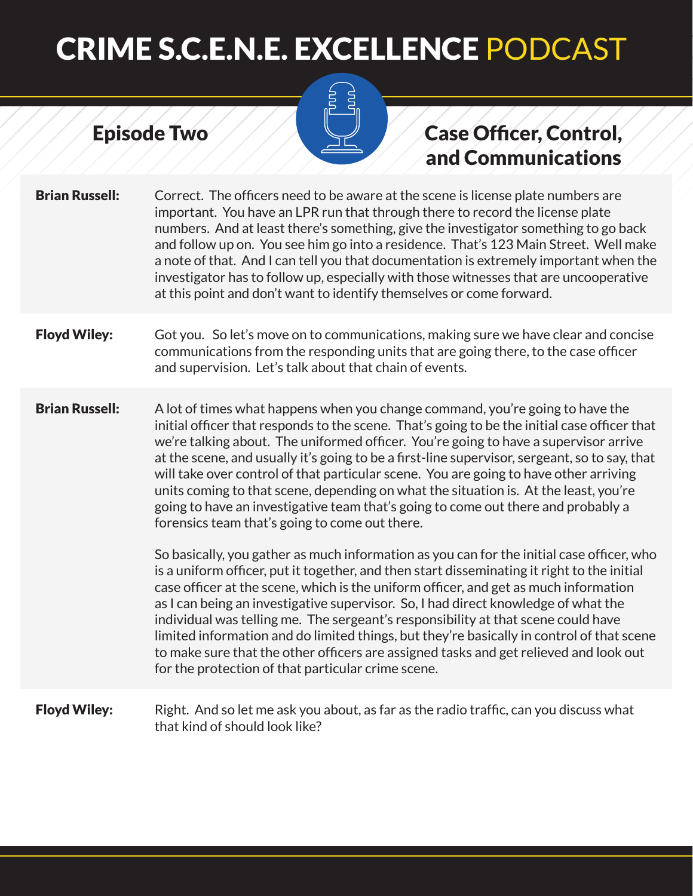Episode Two

#### Case Officer, Control, and Communications

- **Brian Russell:** Correct. The officers need to be aware at the scene is license plate numbers are important. You have an LPR run that through there to record the license plate numbers. And at least there's something, give the investigator something to go back and follow up on. You see him go into a residence. That's 123 Main Street. Well make a note of that. And I can tell you that documentation is extremely important when the investigator has to follow up, especially with those witnesses that are uncooperative at this point and don't want to identify themselves or come forward.
- **Floyd Wiley:** Got you. So let's move on to communications, making sure we have clear and concise communications from the responding units that are going there, to the case officer and supervision. Let's talk about that chain of events.
- **Brian Russell:** A lot of times what happens when you change command, you're going to have the initial officer that responds to the scene. That's going to be the initial case officer that we're talking about. The uniformed officer. You're going to have a supervisor arrive at the scene, and usually it's going to be a first-line supervisor, sergeant, so to say, that will take over control of that particular scene. You are going to have other arriving units coming to that scene, depending on what the situation is. At the least, you're going to have an investigative team that's going to come out there and probably a forensics team that's going to come out there.

So basically, you gather as much information as you can for the initial case officer, who is a uniform officer, put it together, and then start disseminating it right to the initial case officer at the scene, which is the uniform officer, and get as much information as I can being an investigative supervisor. So, I had direct knowledge of what the individual was telling me. The sergeant's responsibility at that scene could have limited information and do limited things, but they're basically in control of that scene to make sure that the other officers are assigned tasks and get relieved and look out for the protection of that particular crime scene.

**Floyd Wiley:** Right. And so let me ask you about, as far as the radio traffic, can you discuss what that kind of should look like?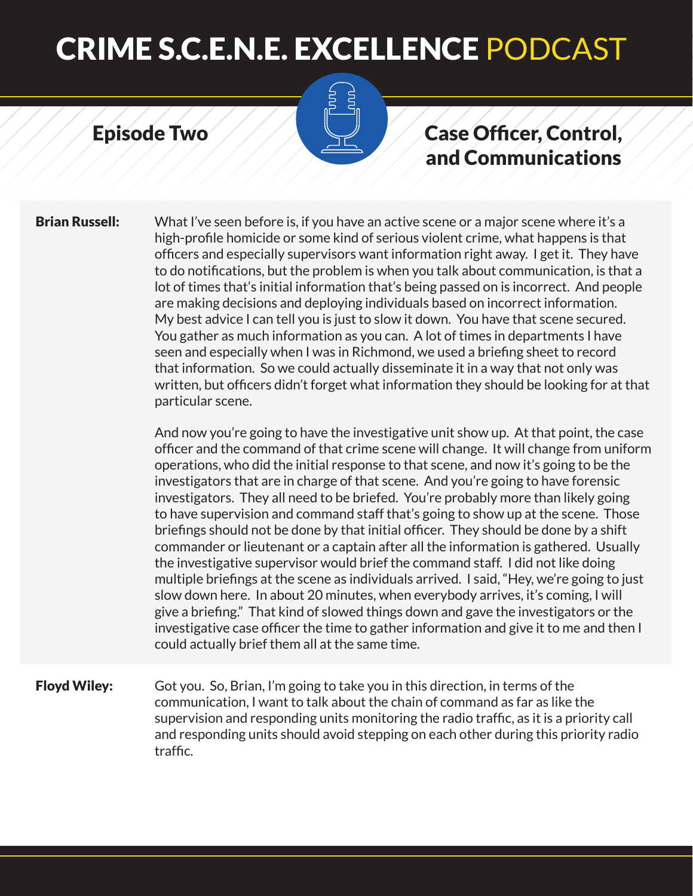#### Episode Two



#### Case Officer, Control, and Communications

**Brian Russell:** What I've seen before is, if you have an active scene or a major scene where it's a high-profile homicide or some kind of serious violent crime, what happens is that officers and especially supervisors want information right away. I get it. They have to do notifications, but the problem is when you talk about communication, is that a lot of times that's initial information that's being passed on is incorrect. And people are making decisions and deploying individuals based on incorrect information. My best advice I can tell you is just to slow it down. You have that scene secured. You gather as much information as you can. A lot of times in departments I have seen and especially when I was in Richmond, we used a briefing sheet to record that information. So we could actually disseminate it in a way that not only was written, but officers didn't forget what information they should be looking for at that particular scene.

> And now you're going to have the investigative unit show up. At that point, the case officer and the command of that crime scene will change. It will change from uniform operations, who did the initial response to that scene, and now it's going to be the investigators that are in charge of that scene. And you're going to have forensic investigators. They all need to be briefed. You're probably more than likely going to have supervision and command staff that's going to show up at the scene. Those briefings should not be done by that initial officer. They should be done by a shift commander or lieutenant or a captain after all the information is gathered. Usually the investigative supervisor would brief the command staff. I did not like doing multiple briefings at the scene as individuals arrived. I said, "Hey, we're going to just slow down here. In about 20 minutes, when everybody arrives, it's coming, I will give a briefing." That kind of slowed things down and gave the investigators or the investigative case officer the time to gather information and give it to me and then I could actually brief them all at the same time.

Floyd Wiley: Got you. So, Brian, I'm going to take you in this direction, in terms of the communication, I want to talk about the chain of command as far as like the supervision and responding units monitoring the radio traffic, as it is a priority call and responding units should avoid stepping on each other during this priority radio traffic.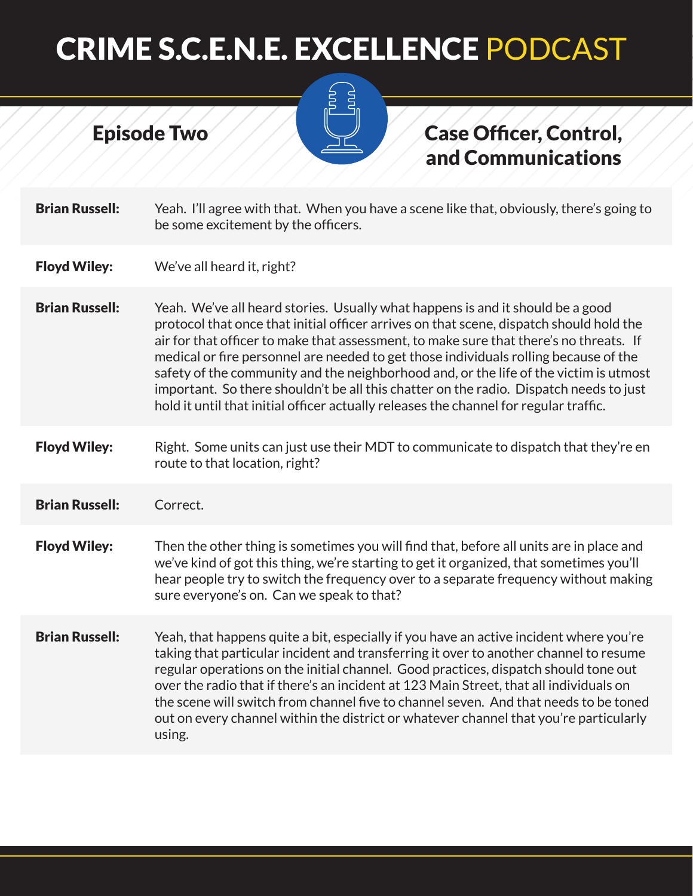

Episode Two

### Case Officer, Control, and Communications

| <b>Brian Russell:</b> | Yeah. I'll agree with that. When you have a scene like that, obviously, there's going to<br>be some excitement by the officers.                                                                                                                                                                                                                                                                                                                                                                                                                                                                                                         |
|-----------------------|-----------------------------------------------------------------------------------------------------------------------------------------------------------------------------------------------------------------------------------------------------------------------------------------------------------------------------------------------------------------------------------------------------------------------------------------------------------------------------------------------------------------------------------------------------------------------------------------------------------------------------------------|
| <b>Floyd Wiley:</b>   | We've all heard it, right?                                                                                                                                                                                                                                                                                                                                                                                                                                                                                                                                                                                                              |
| <b>Brian Russell:</b> | Yeah. We've all heard stories. Usually what happens is and it should be a good<br>protocol that once that initial officer arrives on that scene, dispatch should hold the<br>air for that officer to make that assessment, to make sure that there's no threats. If<br>medical or fire personnel are needed to get those individuals rolling because of the<br>safety of the community and the neighborhood and, or the life of the victim is utmost<br>important. So there shouldn't be all this chatter on the radio. Dispatch needs to just<br>hold it until that initial officer actually releases the channel for regular traffic. |
| <b>Floyd Wiley:</b>   | Right. Some units can just use their MDT to communicate to dispatch that they're en<br>route to that location, right?                                                                                                                                                                                                                                                                                                                                                                                                                                                                                                                   |
| <b>Brian Russell:</b> | Correct.                                                                                                                                                                                                                                                                                                                                                                                                                                                                                                                                                                                                                                |
| <b>Floyd Wiley:</b>   | Then the other thing is sometimes you will find that, before all units are in place and<br>we've kind of got this thing, we're starting to get it organized, that sometimes you'll<br>hear people try to switch the frequency over to a separate frequency without making<br>sure everyone's on. Can we speak to that?                                                                                                                                                                                                                                                                                                                  |
| <b>Brian Russell:</b> | Yeah, that happens quite a bit, especially if you have an active incident where you're<br>taking that particular incident and transferring it over to another channel to resume<br>regular operations on the initial channel. Good practices, dispatch should tone out<br>over the radio that if there's an incident at 123 Main Street, that all individuals on<br>the scene will switch from channel five to channel seven. And that needs to be toned<br>out on every channel within the district or whatever channel that you're particularly<br>using.                                                                             |